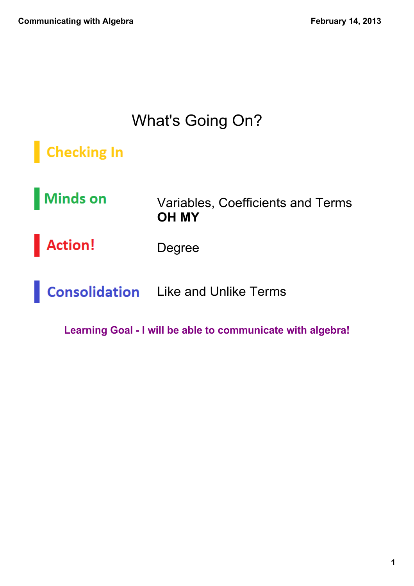# What's Going On?

# **Checking In**

Minds on Variables, Coefficients and Terms **OH MY**

Action! Degree

**Consolidation** Like and Unlike Terms

**Learning Goal I will be able to communicate with algebra!**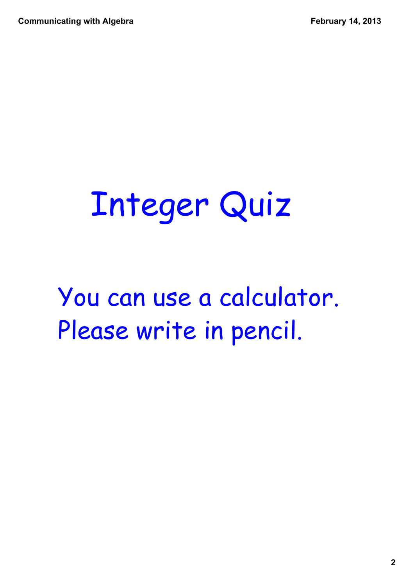**Communicating with Algebra**

# Integer Quiz

You can use a calculator. Please write in pencil.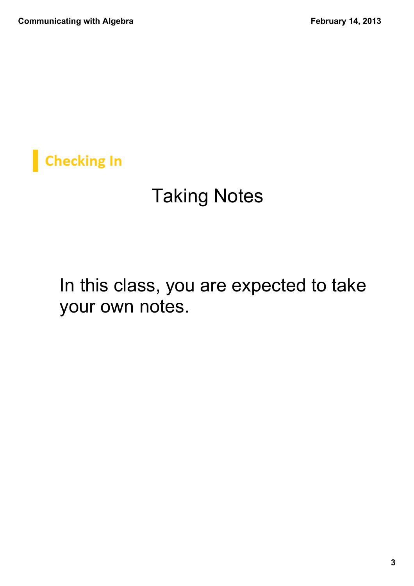**Checking In** 

# Taking Notes

In this class, you are expected to take your own notes.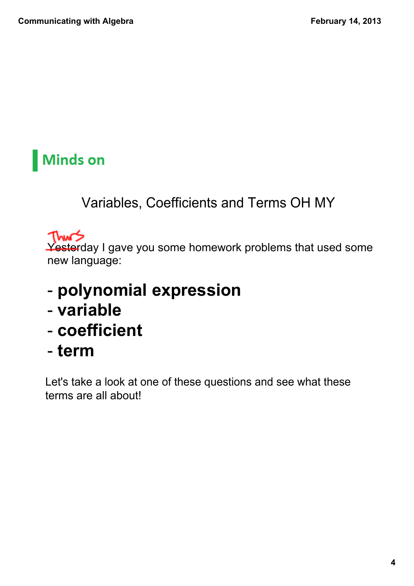#### Variables, Coefficients and Terms OH MY

Thurs

Yesterday I gave you some homework problems that used some new language:

- **polynomial expression**
- **variable**
- **coefficient**
- **term**

Let's take a look at one of these questions and see what these terms are all about!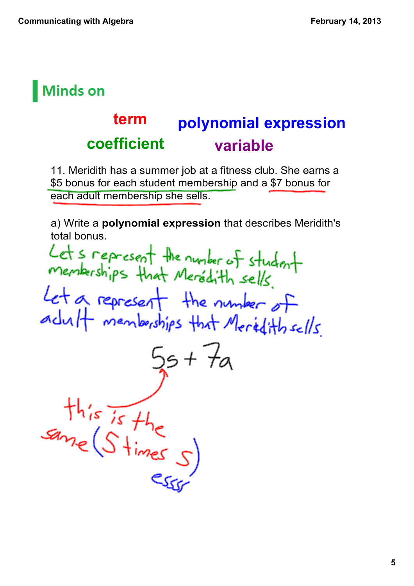#### **polynomial expression coefficient variable term**

11. Meridith has a summer job at a fitness club. She earns a \$5 bonus for each student membership and a \$7 bonus for each adult membership she sells.

a) Write a **polynomial expression** that describes Meridith's total bonus.

Lets represent the number of student Let a represent the number of  $15 + 7a$  $this$  is the same (S times s)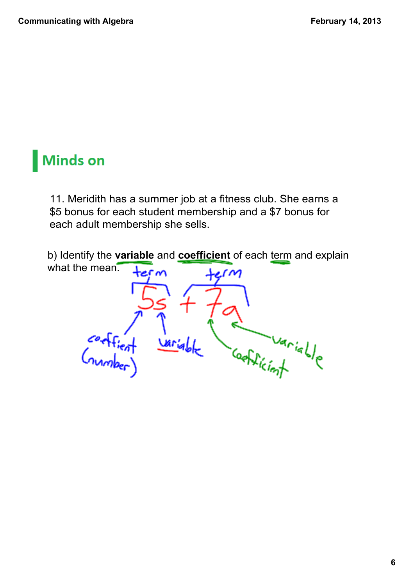11. Meridith has a summer job at a fitness club. She earns a \$5 bonus for each student membership and a \$7 bonus for each adult membership she sells.

b) Identify the **variable** and **coefficient** of each term and explain what the mean.  $\mathbf{r}$ 

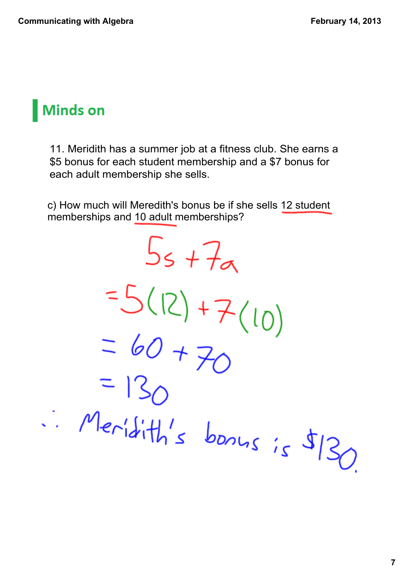11. Meridith has a summer job at a fitness club. She earns a \$5 bonus for each student membership and a \$7 bonus for each adult membership she sells.

c) How much will Meredith's bonus be if she sells 12 student memberships and 10 adult memberships?

 $5s + 7a$  $=5(12)+7(10)$  $= 60 + 70$  $Meridith's bonus is $130$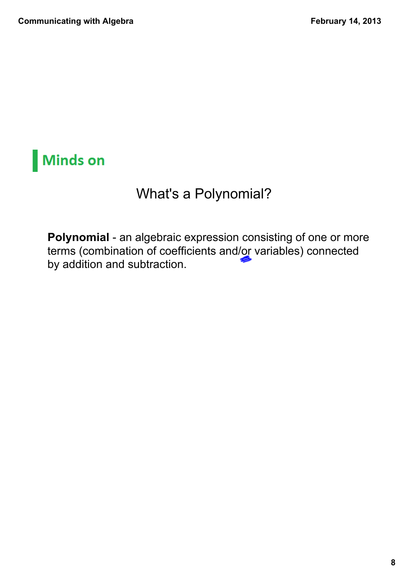#### What's a Polynomial?

Polynomial - an algebraic expression consisting of one or more terms (combination of coefficients and/or variables) connected by addition and subtraction.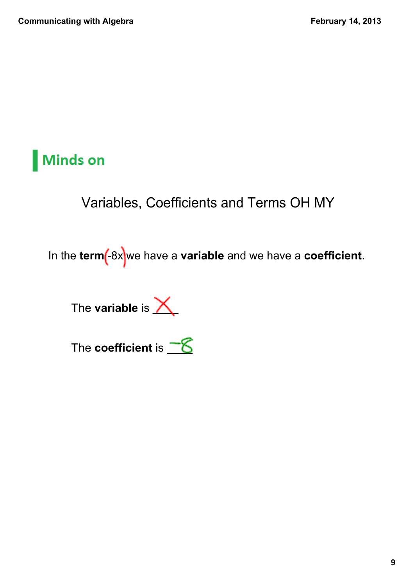Variables, Coefficients and Terms OH MY

In the **term** (-8x we have a **variable** and we have a **coefficient**.

The **variable** is  $\angle$ 

The **coefficient** is  $\underline{\mathcal{S}}$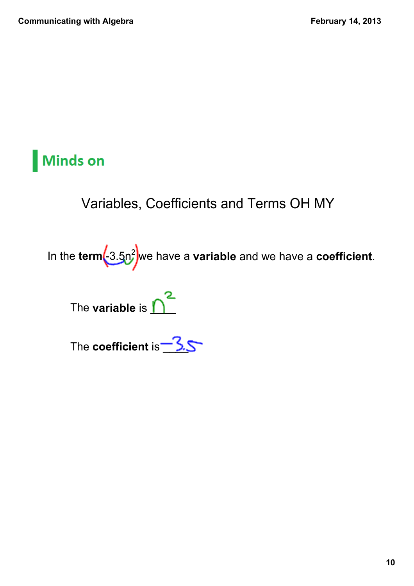#### Variables, Coefficients and Terms OH MY

In the **term(-**3.5n<sup>2</sup> we have a **variable** and we have a **coefficient**.

The **variable** is  $\sum^2$ 

The **coefficient** is **3.5**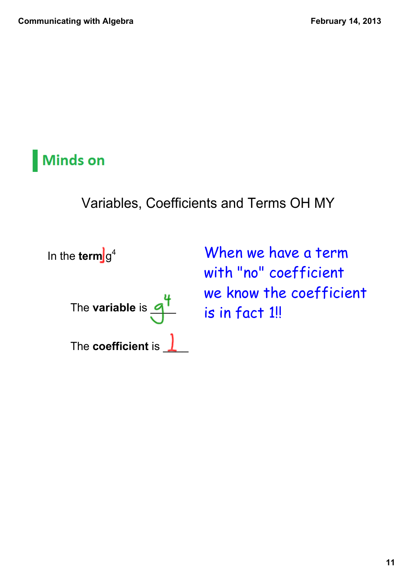Variables, Coefficients and Terms OH MY

In the **term** g<sup>4</sup>

The **variable** is  $q'$ The **coefficient** is  $\frac{1}{\sqrt{2}}$  When we have a term with "no" coefficient we know the coefficient is in fact 1!!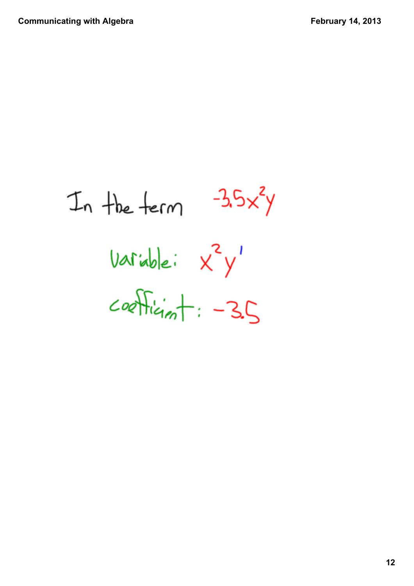In the term  $-3.5x^{2}y$ Variable: X<sup>2</sup>y'  $C$ oefficient: -35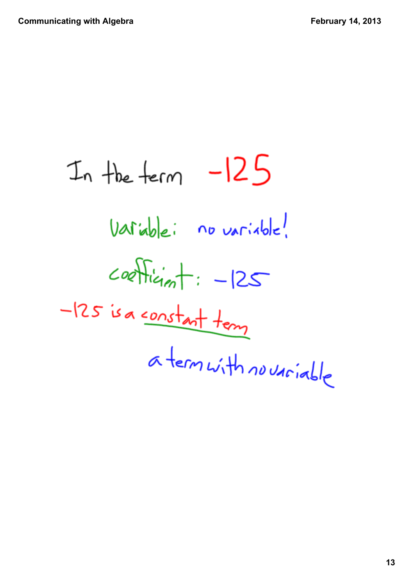In the term  $-125$ Variable: no variable!  $coefficients - 125$  $-125$  is a <u>constant</u> tem a term with no variable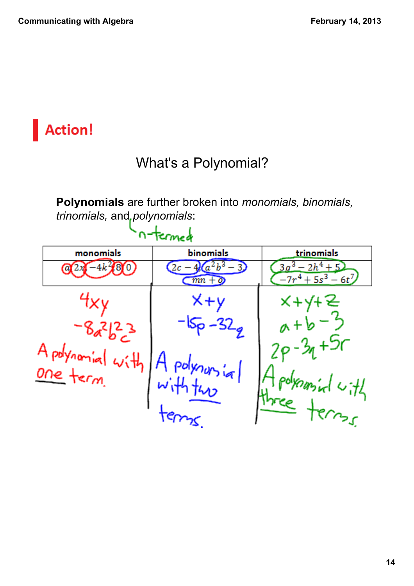# **Action!**

#### What's a Polynomial?

**Polynomials** are further broken into *monomials, binomials, trinomials,* and *polynomials*:

|                                 | n-Termed            |                                                                     |                                                     |
|---------------------------------|---------------------|---------------------------------------------------------------------|-----------------------------------------------------|
|                                 | monomials           | binomials                                                           | trinomials                                          |
|                                 | $-4k^{2}80$         | $(a^2b^3)$<br>$\left(2c-4\right)$<br>$\overline{mn} + \overline{0}$ | $\frac{3}{2}-2h^4+5$<br>3a<br>$-7r^4 + 5s^3 - 6t^7$ |
|                                 |                     | $x+y$                                                               | $x + 1$                                             |
|                                 | $-8a^{2}b^{2}c^{3}$ |                                                                     |                                                     |
| A polynomial with"<br>One term. |                     |                                                                     |                                                     |
|                                 |                     | A polynons in                                                       | polysmiral with                                     |
|                                 |                     |                                                                     | three terms.                                        |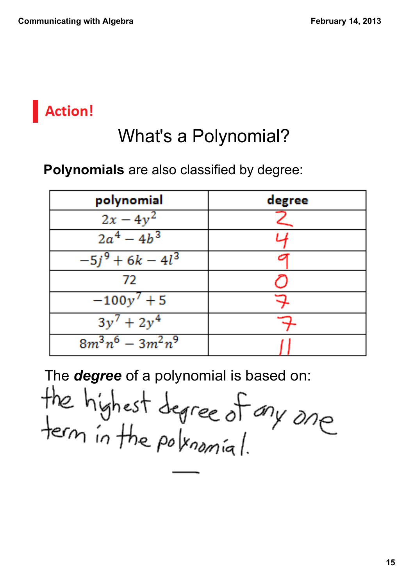### **Action!**

# What's a Polynomial?

#### **Polynomials** are also classified by degree:

| polynomial          | degree |
|---------------------|--------|
| $2x - 4y$           |        |
| $2a^4 - 4b^3$       |        |
| $-5j^9 + 6k - 4l^3$ |        |
| 72                  |        |
| $-100y^{7}+5$       |        |
| $3y^7 + 2y^4$       |        |
| $8m^3n^6 - 3m^2n^9$ |        |

The *degree* of a polynomial is based on:

the highest degree of any one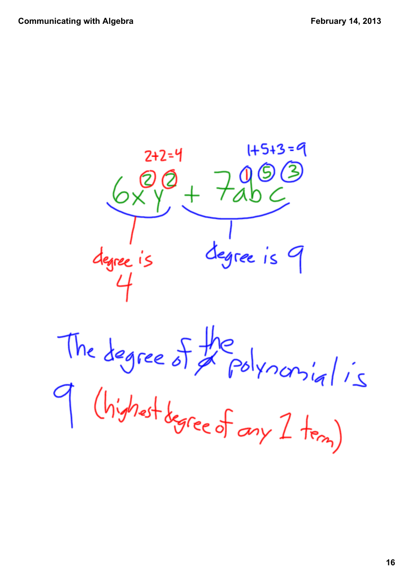

The degree of the polynomial is<br>9 (highet degree of any 1 tem)